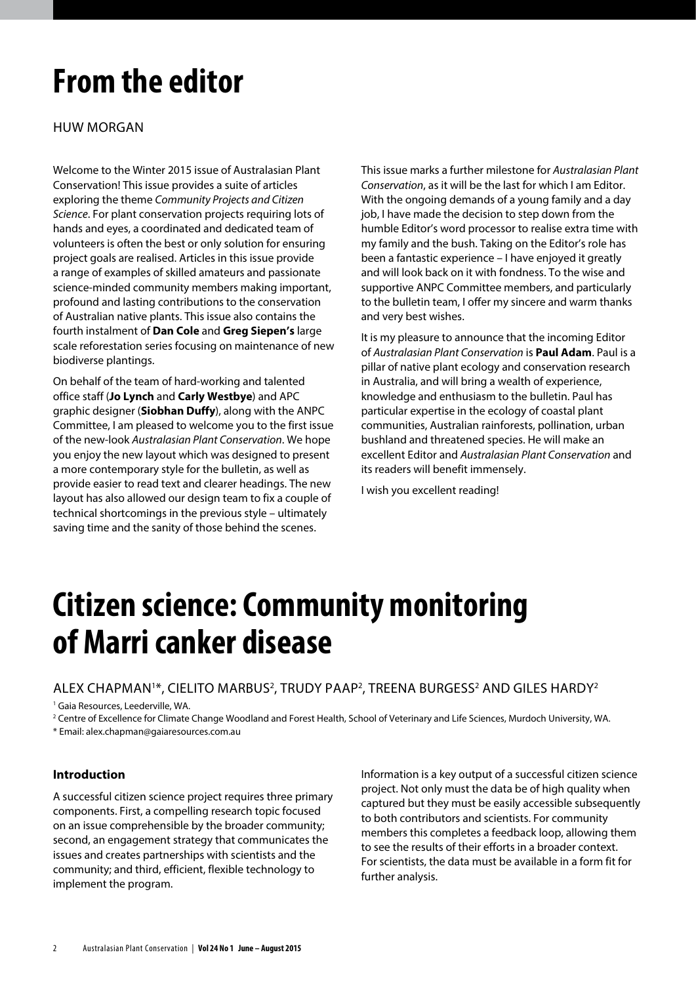# **From the editor**

Huw Morgan

Welcome to the Winter 2015 issue of Australasian Plant Conservation! This issue provides a suite of articles exploring the theme *Community Projects and Citizen Science*. For plant conservation projects requiring lots of hands and eyes, a coordinated and dedicated team of volunteers is often the best or only solution for ensuring project goals are realised. Articles in this issue provide a range of examples of skilled amateurs and passionate science-minded community members making important, profound and lasting contributions to the conservation of Australian native plants. This issue also contains the fourth instalment of **Dan Cole** and **Greg Siepen's** large scale reforestation series focusing on maintenance of new biodiverse plantings.

On behalf of the team of hard-working and talented office staff (**Jo Lynch** and **Carly Westbye**) and APC graphic designer (**Siobhan Duffy**), along with the ANPC Committee, I am pleased to welcome you to the first issue of the new-look *Australasian Plant Conservation*. We hope you enjoy the new layout which was designed to present a more contemporary style for the bulletin, as well as provide easier to read text and clearer headings. The new layout has also allowed our design team to fix a couple of technical shortcomings in the previous style – ultimately saving time and the sanity of those behind the scenes.

This issue marks a further milestone for *Australasian Plant Conservation*, as it will be the last for which I am Editor. With the ongoing demands of a young family and a day job, I have made the decision to step down from the humble Editor's word processor to realise extra time with my family and the bush. Taking on the Editor's role has been a fantastic experience – I have enjoyed it greatly and will look back on it with fondness. To the wise and supportive ANPC Committee members, and particularly to the bulletin team, I offer my sincere and warm thanks and very best wishes.

It is my pleasure to announce that the incoming Editor of *Australasian Plant Conservation* is **Paul Adam**. Paul is a pillar of native plant ecology and conservation research in Australia, and will bring a wealth of experience, knowledge and enthusiasm to the bulletin. Paul has particular expertise in the ecology of coastal plant communities, Australian rainforests, pollination, urban bushland and threatened species. He will make an excellent Editor and *Australasian Plant Conservation* and its readers will benefit immensely.

I wish you excellent reading!

## **Citizen science: Community monitoring of Marri canker disease**

ALEX CHAPMAN<sup>1</sup>\*, CIELITO MARBUS<sup>2</sup>, TRUDY PAAP<sup>2</sup>, TREENA BURGESS<sup>2</sup> AND GILES HARDY<sup>2</sup>

1 Gaia Resources, Leederville, WA.

2 Centre of Excellence for Climate Change Woodland and Forest Health, School of Veterinary and Life Sciences, Murdoch University, WA.

\* Email: alex.chapman@gaiaresources.com.au

## **Introduction**

A successful citizen science project requires three primary components. First, a compelling research topic focused on an issue comprehensible by the broader community; second, an engagement strategy that communicates the issues and creates partnerships with scientists and the community; and third, efficient, flexible technology to implement the program.

Information is a key output of a successful citizen science project. Not only must the data be of high quality when captured but they must be easily accessible subsequently to both contributors and scientists. For community members this completes a feedback loop, allowing them to see the results of their efforts in a broader context. For scientists, the data must be available in a form fit for further analysis.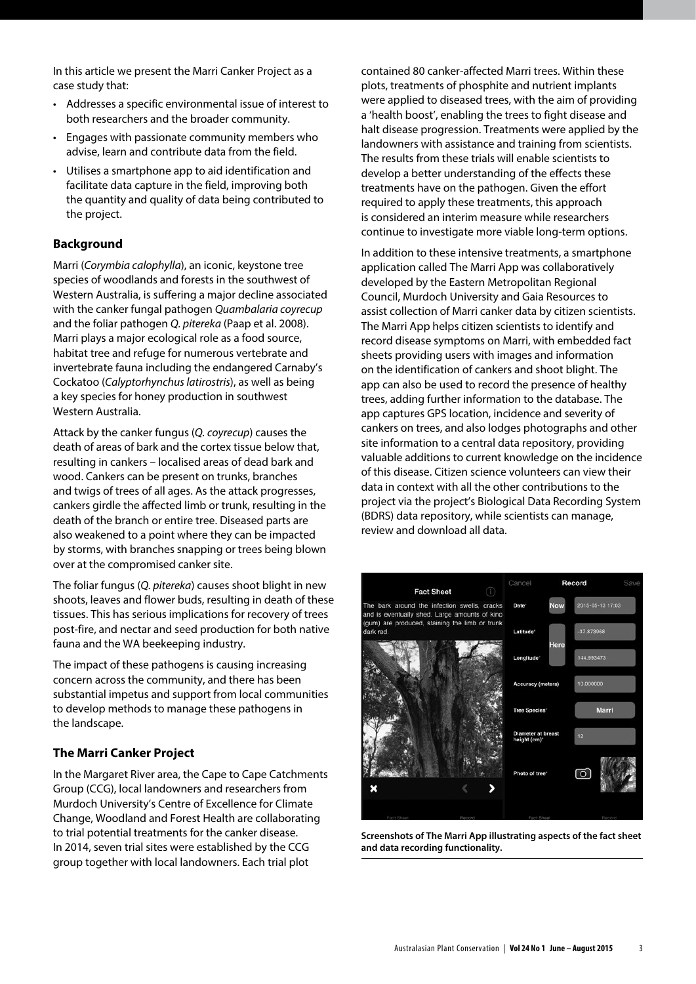In this article we present the Marri Canker Project as a case study that:

- Addresses a specific environmental issue of interest to both researchers and the broader community.
- • Engages with passionate community members who advise, learn and contribute data from the field.
- Utilises a smartphone app to aid identification and facilitate data capture in the field, improving both the quantity and quality of data being contributed to the project.

## **Background**

Marri (*Corymbia calophylla*), an iconic, keystone tree species of woodlands and forests in the southwest of Western Australia, is suffering a major decline associated with the canker fungal pathogen *Quambalaria coyrecup* and the foliar pathogen *Q. pitereka* (Paap et al. 2008). Marri plays a major ecological role as a food source, habitat tree and refuge for numerous vertebrate and invertebrate fauna including the endangered Carnaby's Cockatoo (*Calyptorhynchus latirostris*), as well as being a key species for honey production in southwest Western Australia.

Attack by the canker fungus (*Q. coyrecup*) causes the death of areas of bark and the cortex tissue below that, resulting in cankers – localised areas of dead bark and wood. Cankers can be present on trunks, branches and twigs of trees of all ages. As the attack progresses, cankers girdle the affected limb or trunk, resulting in the death of the branch or entire tree. Diseased parts are also weakened to a point where they can be impacted by storms, with branches snapping or trees being blown over at the compromised canker site.

The foliar fungus (*Q. pitereka*) causes shoot blight in new shoots, leaves and flower buds, resulting in death of these tissues. This has serious implications for recovery of trees post-fire, and nectar and seed production for both native fauna and the WA beekeeping industry.

The impact of these pathogens is causing increasing concern across the community, and there has been substantial impetus and support from local communities to develop methods to manage these pathogens in the landscape.

## **The Marri Canker Project**

In the Margaret River area, the Cape to Cape Catchments Group (CCG), local landowners and researchers from Murdoch University's Centre of Excellence for Climate Change, Woodland and Forest Health are collaborating to trial potential treatments for the canker disease. In 2014, seven trial sites were established by the CCG group together with local landowners. Each trial plot

contained 80 canker-affected Marri trees. Within these plots, treatments of phosphite and nutrient implants were applied to diseased trees, with the aim of providing a 'health boost', enabling the trees to fight disease and halt disease progression. Treatments were applied by the landowners with assistance and training from scientists. The results from these trials will enable scientists to develop a better understanding of the effects these treatments have on the pathogen. Given the effort required to apply these treatments, this approach is considered an interim measure while researchers continue to investigate more viable long-term options.

In addition to these intensive treatments, a smartphone application called The Marri App was collaboratively developed by the Eastern Metropolitan Regional Council, Murdoch University and Gaia Resources to assist collection of Marri canker data by citizen scientists. The Marri App helps citizen scientists to identify and record disease symptoms on Marri, with embedded fact sheets providing users with images and information on the identification of cankers and shoot blight. The app can also be used to record the presence of healthy trees, adding further information to the database. The app captures GPS location, incidence and severity of cankers on trees, and also lodges photographs and other site information to a central data repository, providing valuable additions to current knowledge on the incidence of this disease. Citizen science volunteers can view their data in context with all the other contributions to the project via the project's Biological Data Recording System (BDRS) data repository, while scientists can manage, review and download all data.



**Screenshots of The Marri App illustrating aspects of the fact sheet and data recording functionality.**